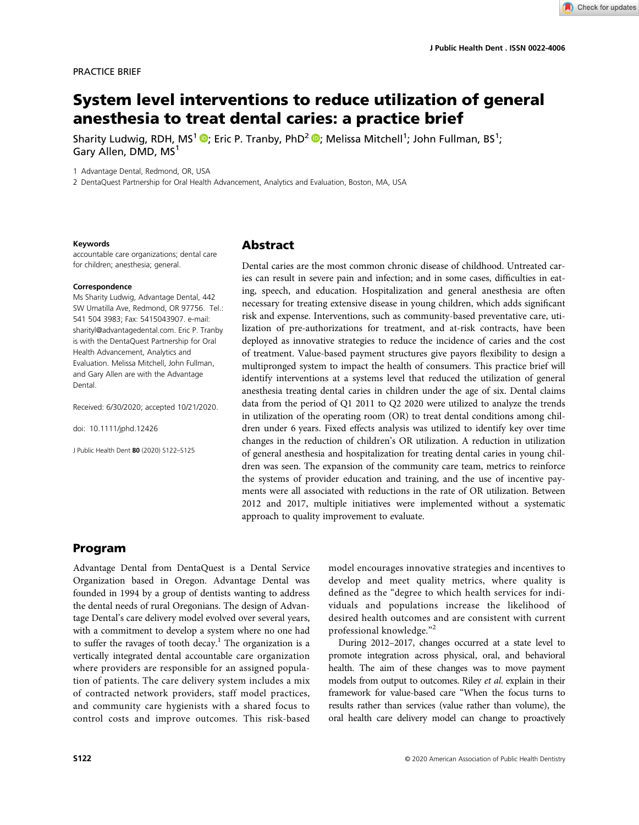# System level interventions to reduce utilization of general anesthesia to treat dental caries: a practice brief

Sharity Ludwig, RDH, MS<sup>1</sup> ©[;](https://orcid.org/0000-0002-3854-7162) Eric P. Tranby, PhD<sup>2</sup> ©; Melissa Mitchell<sup>1</sup>; John Fullman, BS<sup>1</sup>; Gary Allen, DMD, MS<sup>1</sup>

1 Advantage Dental, Redmond, OR, USA

2 DentaQuest Partnership for Oral Health Advancement, Analytics and Evaluation, Boston, MA, USA

#### Keywords

accountable care organizations; dental care for children; anesthesia; general.

#### **Correspondence**

Ms Sharity Ludwig, Advantage Dental, 442 SW Umatilla Ave, Redmond, OR 97756. Tel.: 541 504 3983; Fax: 5415043907. e-mail: [sharityl@advantagedental.com.](mailto:sharityl@advantagedental.com) Eric P. Tranby is with the DentaQuest Partnership for Oral Health Advancement, Analytics and Evaluation. Melissa Mitchell, John Fullman, and Gary Allen are with the Advantage **Dental** 

Received: 6/30/2020; accepted 10/21/2020.

doi: 10.1111/jphd.12426

J Public Health Dent 80 (2020) S122–S125

### Abstract

Dental caries are the most common chronic disease of childhood. Untreated caries can result in severe pain and infection; and in some cases, difficulties in eating, speech, and education. Hospitalization and general anesthesia are often necessary for treating extensive disease in young children, which adds significant risk and expense. Interventions, such as community-based preventative care, utilization of pre-authorizations for treatment, and at-risk contracts, have been deployed as innovative strategies to reduce the incidence of caries and the cost of treatment. Value-based payment structures give payors flexibility to design a multipronged system to impact the health of consumers. This practice brief will identify interventions at a systems level that reduced the utilization of general anesthesia treating dental caries in children under the age of six. Dental claims data from the period of Q1 2011 to Q2 2020 were utilized to analyze the trends in utilization of the operating room (OR) to treat dental conditions among children under 6 years. Fixed effects analysis was utilized to identify key over time changes in the reduction of children's OR utilization. A reduction in utilization of general anesthesia and hospitalization for treating dental caries in young children was seen. The expansion of the community care team, metrics to reinforce the systems of provider education and training, and the use of incentive payments were all associated with reductions in the rate of OR utilization. Between 2012 and 2017, multiple initiatives were implemented without a systematic approach to quality improvement to evaluate.

#### Program

Advantage Dental from DentaQuest is a Dental Service Organization based in Oregon. Advantage Dental was founded in 1994 by a group of dentists wanting to address the dental needs of rural Oregonians. The design of Advantage Dental's care delivery model evolved over several years, with a commitment to develop a system where no one had to suffer the ravages of tooth decay.<sup>1</sup> The organization is a vertically integrated dental accountable care organization where providers are responsible for an assigned population of patients. The care delivery system includes a mix of contracted network providers, staff model practices, and community care hygienists with a shared focus to control costs and improve outcomes. This risk-based model encourages innovative strategies and incentives to develop and meet quality metrics, where quality is defined as the "degree to which health services for individuals and populations increase the likelihood of desired health outcomes and are consistent with current professional knowledge." 2

During 2012–2017, changes occurred at a state level to promote integration across physical, oral, and behavioral health. The aim of these changes was to move payment models from output to outcomes. Riley et al. explain in their framework for value-based care "When the focus turns to results rather than services (value rather than volume), the oral health care delivery model can change to proactively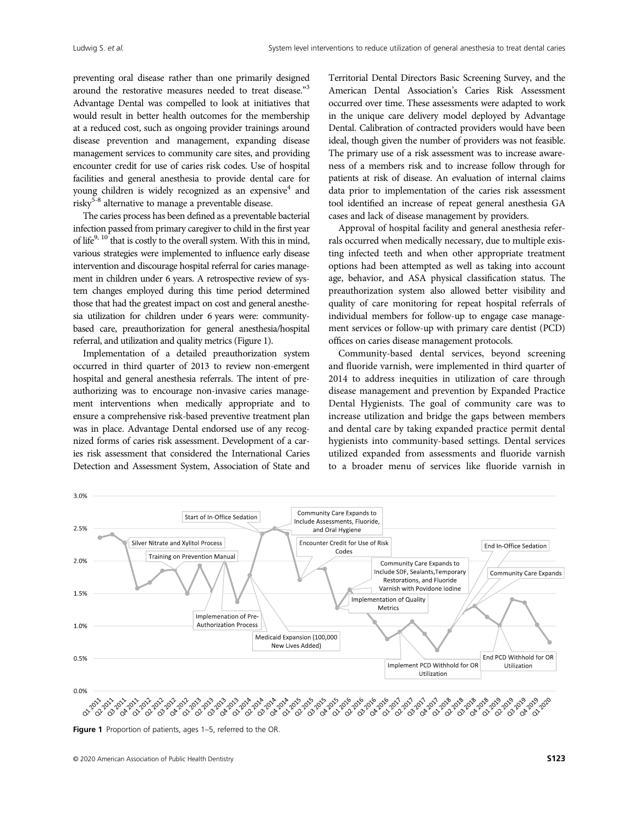preventing oral disease rather than one primarily designed around the restorative measures needed to treat disease."3 Advantage Dental was compelled to look at initiatives that would result in better health outcomes for the membership at a reduced cost, such as ongoing provider trainings around disease prevention and management, expanding disease management services to community care sites, and providing encounter credit for use of caries risk codes. Use of hospital facilities and general anesthesia to provide dental care for young children is widely recognized as an expensive<sup>4</sup> and risky<sup>5-8</sup> alternative to manage a preventable disease.

The caries process has been defined as a preventable bacterial infection passed from primary caregiver to child in the first year of life $9, 10$  that is costly to the overall system. With this in mind, various strategies were implemented to influence early disease intervention and discourage hospital referral for caries management in children under 6 years. A retrospective review of system changes employed during this time period determined those that had the greatest impact on cost and general anesthesia utilization for children under 6 years were: communitybased care, preauthorization for general anesthesia/hospital referral, and utilization and quality metrics (Figure 1).

Implementation of a detailed preauthorization system occurred in third quarter of 2013 to review non-emergent hospital and general anesthesia referrals. The intent of preauthorizing was to encourage non-invasive caries management interventions when medically appropriate and to ensure a comprehensive risk-based preventive treatment plan was in place. Advantage Dental endorsed use of any recognized forms of caries risk assessment. Development of a caries risk assessment that considered the International Caries Detection and Assessment System, Association of State and

Territorial Dental Directors Basic Screening Survey, and the American Dental Association's Caries Risk Assessment occurred over time. These assessments were adapted to work in the unique care delivery model deployed by Advantage Dental. Calibration of contracted providers would have been ideal, though given the number of providers was not feasible. The primary use of a risk assessment was to increase awareness of a members risk and to increase follow through for patients at risk of disease. An evaluation of internal claims data prior to implementation of the caries risk assessment tool identified an increase of repeat general anesthesia GA cases and lack of disease management by providers.

Approval of hospital facility and general anesthesia referrals occurred when medically necessary, due to multiple existing infected teeth and when other appropriate treatment options had been attempted as well as taking into account age, behavior, and ASA physical classification status. The preauthorization system also allowed better visibility and quality of care monitoring for repeat hospital referrals of individual members for follow-up to engage case management services or follow-up with primary care dentist (PCD) offices on caries disease management protocols.

Community-based dental services, beyond screening and fluoride varnish, were implemented in third quarter of 2014 to address inequities in utilization of care through disease management and prevention by Expanded Practice Dental Hygienists. The goal of community care was to increase utilization and bridge the gaps between members and dental care by taking expanded practice permit dental hygienists into community-based settings. Dental services utilized expanded from assessments and fluoride varnish to a broader menu of services like fluoride varnish in



Figure 1 Proportion of patients, ages 1–5, referred to the OR.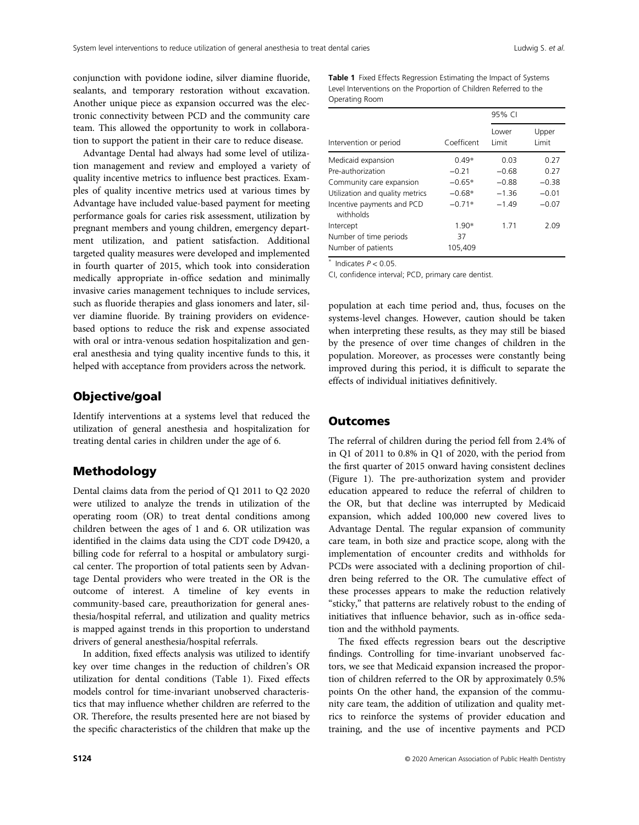conjunction with povidone iodine, silver diamine fluoride, sealants, and temporary restoration without excavation. Another unique piece as expansion occurred was the electronic connectivity between PCD and the community care team. This allowed the opportunity to work in collaboration to support the patient in their care to reduce disease.

Advantage Dental had always had some level of utilization management and review and employed a variety of quality incentive metrics to influence best practices. Examples of quality incentive metrics used at various times by Advantage have included value-based payment for meeting performance goals for caries risk assessment, utilization by pregnant members and young children, emergency department utilization, and patient satisfaction. Additional targeted quality measures were developed and implemented in fourth quarter of 2015, which took into consideration medically appropriate in-office sedation and minimally invasive caries management techniques to include services, such as fluoride therapies and glass ionomers and later, silver diamine fluoride. By training providers on evidencebased options to reduce the risk and expense associated with oral or intra-venous sedation hospitalization and general anesthesia and tying quality incentive funds to this, it helped with acceptance from providers across the network.

## Objective/goal

Identify interventions at a systems level that reduced the utilization of general anesthesia and hospitalization for treating dental caries in children under the age of 6.

# Methodology

Dental claims data from the period of Q1 2011 to Q2 2020 were utilized to analyze the trends in utilization of the operating room (OR) to treat dental conditions among children between the ages of 1 and 6. OR utilization was identified in the claims data using the CDT code D9420, a billing code for referral to a hospital or ambulatory surgical center. The proportion of total patients seen by Advantage Dental providers who were treated in the OR is the outcome of interest. A timeline of key events in community-based care, preauthorization for general anesthesia/hospital referral, and utilization and quality metrics is mapped against trends in this proportion to understand drivers of general anesthesia/hospital referrals.

In addition, fixed effects analysis was utilized to identify key over time changes in the reduction of children's OR utilization for dental conditions (Table 1). Fixed effects models control for time-invariant unobserved characteristics that may influence whether children are referred to the OR. Therefore, the results presented here are not biased by the specific characteristics of the children that make up the Table 1 Fixed Effects Regression Estimating the Impact of Systems Level Interventions on the Proportion of Children Referred to the Operating Room

| Intervention or period                  | Coefficent | 95% CI         |                |
|-----------------------------------------|------------|----------------|----------------|
|                                         |            | Lower<br>Limit | Upper<br>Limit |
| Medicaid expansion                      | $0.49*$    | 0.03           | 0.27           |
| Pre-authorization                       | $-0.21$    | $-0.68$        | 0.27           |
| Community care expansion                | $-0.65*$   | $-0.88$        | $-0.38$        |
| Utilization and quality metrics         | $-0.68*$   | $-1.36$        | $-0.01$        |
| Incentive payments and PCD<br>withholds | $-0.71*$   | $-1.49$        | $-0.07$        |
| Intercept                               | $1.90*$    | 1.71           | 2.09           |
| Number of time periods                  | 37         |                |                |
| Number of patients                      | 105,409    |                |                |

Indicates  $P < 0.05$ .

CI, confidence interval; PCD, primary care dentist.

population at each time period and, thus, focuses on the systems-level changes. However, caution should be taken when interpreting these results, as they may still be biased by the presence of over time changes of children in the population. Moreover, as processes were constantly being improved during this period, it is difficult to separate the effects of individual initiatives definitively.

### **Outcomes**

The referral of children during the period fell from 2.4% of in Q1 of 2011 to 0.8% in Q1 of 2020, with the period from the first quarter of 2015 onward having consistent declines (Figure 1). The pre-authorization system and provider education appeared to reduce the referral of children to the OR, but that decline was interrupted by Medicaid expansion, which added 100,000 new covered lives to Advantage Dental. The regular expansion of community care team, in both size and practice scope, along with the implementation of encounter credits and withholds for PCDs were associated with a declining proportion of children being referred to the OR. The cumulative effect of these processes appears to make the reduction relatively "sticky," that patterns are relatively robust to the ending of initiatives that influence behavior, such as in-office sedation and the withhold payments.

The fixed effects regression bears out the descriptive findings. Controlling for time-invariant unobserved factors, we see that Medicaid expansion increased the proportion of children referred to the OR by approximately 0.5% points On the other hand, the expansion of the community care team, the addition of utilization and quality metrics to reinforce the systems of provider education and training, and the use of incentive payments and PCD